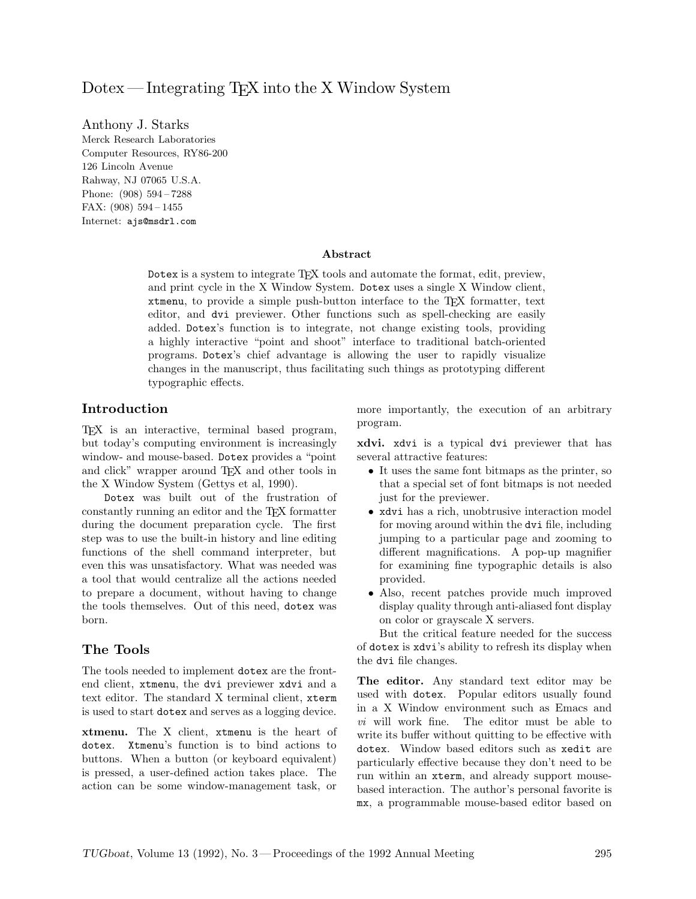## Dotex — Integrating T<sub>F</sub>X into the X Window System

Anthony J. Starks Merck Research Laboratories Computer Resources, RY86-200 126 Lincoln Avenue Rahway, NJ 07065 U.S.A. Phone: (908) 594 – 7288 FAX: (908) 594 – 1455 Internet: ajs@msdrl.com

#### **Abstract**

Dotex is a system to integrate TFX tools and automate the format, edit, preview, and print cycle in the X Window System. Dotex uses a single X Window client, xtmenu, to provide a simple push-button interface to the TEX formatter, text editor, and dvi previewer. Other functions such as spell-checking are easily added. Dotex's function is to integrate, not change existing tools, providing a highly interactive "point and shoot" interface to traditional batch-oriented programs. Dotex's chief advantage is allowing the user to rapidly visualize changes in the manuscript, thus facilitating such things as prototyping different typographic effects.

### **Introduction**

TEX is an interactive, terminal based program, but today's computing environment is increasingly window- and mouse-based. Dotex provides a "point and click" wrapper around T<sub>EX</sub> and other tools in the X Window System (Gettys et al, 1990).

Dotex was built out of the frustration of constantly running an editor and the TEX formatter during the document preparation cycle. The first step was to use the built-in history and line editing functions of the shell command interpreter, but even this was unsatisfactory. What was needed was a tool that would centralize all the actions needed to prepare a document, without having to change the tools themselves. Out of this need, dotex was born.

### **The Tools**

The tools needed to implement dotex are the frontend client, xtmenu, the dvi previewer xdvi and a text editor. The standard X terminal client, xterm is used to start dotex and serves as a logging device.

**xtmenu.** The X client, xtmenu is the heart of dotex. Xtmenu's function is to bind actions to buttons. When a button (or keyboard equivalent) is pressed, a user-defined action takes place. The action can be some window-management task, or

more importantly, the execution of an arbitrary program.

**xdvi.** xdvi is a typical dvi previewer that has several attractive features:

- *•* It uses the same font bitmaps as the printer, so that a special set of font bitmaps is not needed just for the previewer.
- *•* xdvi has a rich, unobtrusive interaction model for moving around within the dvi file, including jumping to a particular page and zooming to different magnifications. A pop-up magnifier for examining fine typographic details is also provided.
- Also, recent patches provide much improved display quality through anti-aliased font display on color or grayscale X servers.

But the critical feature needed for the success of dotex is xdvi's ability to refresh its display when the dvi file changes.

**The editor.** Any standard text editor may be used with dotex. Popular editors usually found in a X Window environment such as Emacs and *vi* will work fine. The editor must be able to write its buffer without quitting to be effective with dotex. Window based editors such as xedit are particularly effective because they don't need to be run within an xterm, and already support mousebased interaction. The author's personal favorite is mx, a programmable mouse-based editor based on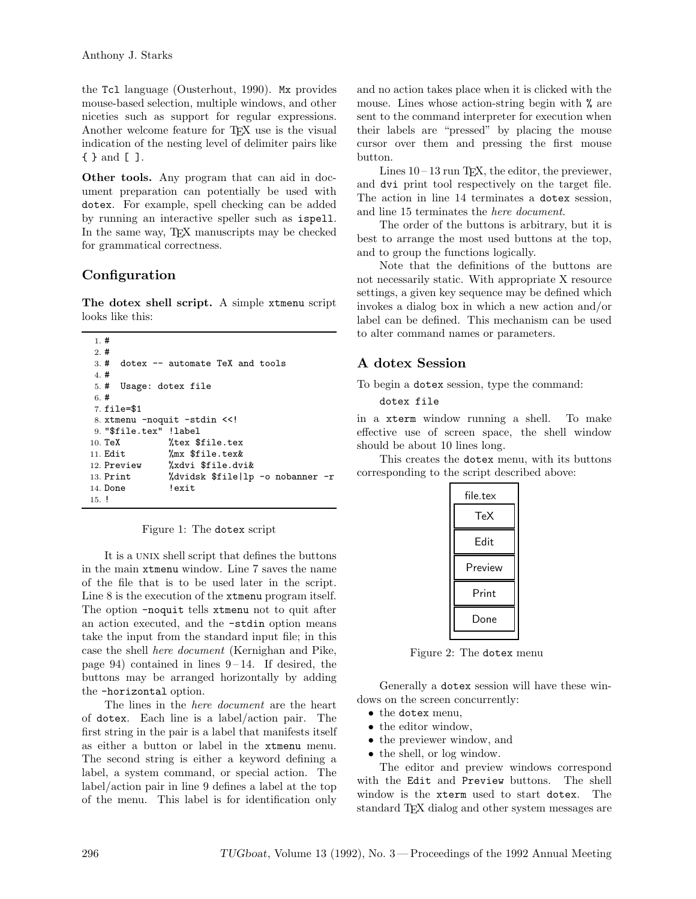the Tcl language (Ousterhout, 1990). Mx provides mouse-based selection, multiple windows, and other niceties such as support for regular expressions. Another welcome feature for TFX use is the visual indication of the nesting level of delimiter pairs like { } and [ ].

**Other tools.** Any program that can aid in document preparation can potentially be used with dotex. For example, spell checking can be added by running an interactive speller such as ispell. In the same way, TEX manuscripts may be checked for grammatical correctness.

## **Configuration**

**The dotex shell script.** A simple xtmenu script looks like this:

```
1. #
2. #<br>3. #dotex -- automate TeX and tools
4. #
5. # Usage: dotex file
6. #
7. file=$1
8. xtmenu -noquit -stdin <<!
9. "$file.tex" !label
10. TeX %tex $file.tex
11. Edit %mx $file.tex&
12. Preview %xdvi $file.dvi&
13. Print %dvidsk $file|lp -o nobanner -r
14. Done lexit
15. !
```


It is a unix shell script that defines the buttons in the main xtmenu window. Line 7 saves the name of the file that is to be used later in the script. Line 8 is the execution of the xtmenu program itself. The option -noquit tells xtmenu not to quit after an action executed, and the -stdin option means take the input from the standard input file; in this case the shell *here document* (Kernighan and Pike, page 94) contained in lines  $9-14$ . If desired, the buttons may be arranged horizontally by adding the -horizontal option.

The lines in the *here document* are the heart of dotex. Each line is a label/action pair. The first string in the pair is a label that manifests itself as either a button or label in the xtmenu menu. The second string is either a keyword defining a label, a system command, or special action. The label/action pair in line 9 defines a label at the top of the menu. This label is for identification only

and no action takes place when it is clicked with the mouse. Lines whose action-string begin with % are sent to the command interpreter for execution when their labels are "pressed" by placing the mouse cursor over them and pressing the first mouse button.

Lines  $10-13$  run T<sub>E</sub>X, the editor, the previewer, and dvi print tool respectively on the target file. The action in line 14 terminates a dotex session, and line 15 terminates the *here document*.

The order of the buttons is arbitrary, but it is best to arrange the most used buttons at the top, and to group the functions logically.

Note that the definitions of the buttons are not necessarily static. With appropriate X resource settings, a given key sequence may be defined which invokes a dialog box in which a new action and/or label can be defined. This mechanism can be used to alter command names or parameters.

## **A dotex Session**

To begin a dotex session, type the command:

### dotex file

in a xterm window running a shell. To make effective use of screen space, the shell window should be about 10 lines long.

This creates the dotex menu, with its buttons corresponding to the script described above:

| file.tex |  |
|----------|--|
| TeX      |  |
| Edit     |  |
| Preview  |  |
| Print    |  |
| Done     |  |

Figure 2: The dotex menu

Generally a dotex session will have these windows on the screen concurrently:

- *•* the dotex menu,
- the editor window,
- the previewer window, and
- the shell, or log window.

The editor and preview windows correspond with the Edit and Preview buttons. The shell window is the xterm used to start dotex. The standard TEX dialog and other system messages are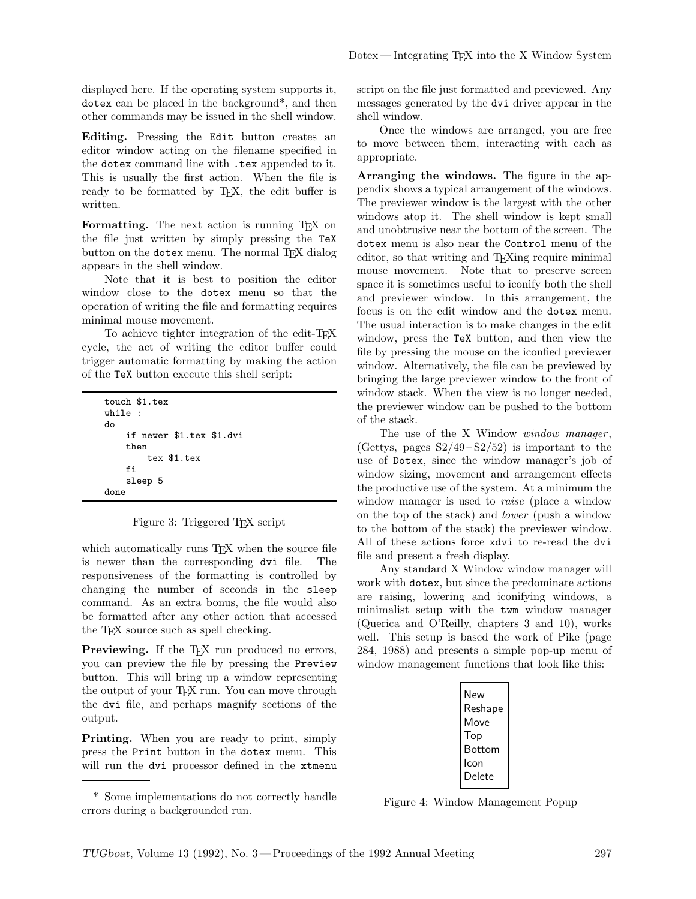displayed here. If the operating system supports it, dotex can be placed in the background\*, and then other commands may be issued in the shell window.

**Editing.** Pressing the Edit button creates an editor window acting on the filename specified in the dotex command line with .tex appended to it. This is usually the first action. When the file is ready to be formatted by TEX, the edit buffer is written.

Formatting. The next action is running T<sub>E</sub>X on the file just written by simply pressing the TeX button on the dotex menu. The normal T<sub>E</sub>X dialog appears in the shell window.

Note that it is best to position the editor window close to the dotex menu so that the operation of writing the file and formatting requires minimal mouse movement.

To achieve tighter integration of the edit-TEX cycle, the act of writing the editor buffer could trigger automatic formatting by making the action of the TeX button execute this shell script:

```
touch $1.tex
while :
do
    if newer $1.tex $1.dvi
    then
        tex $1.tex
    fi
    sleep 5
done
```
Figure 3: Triggered T<sub>E</sub>X script

which automatically runs T<sub>EX</sub> when the source file is newer than the corresponding dvi file. The responsiveness of the formatting is controlled by changing the number of seconds in the sleep command. As an extra bonus, the file would also be formatted after any other action that accessed the T<sub>EX</sub> source such as spell checking.

Previewing. If the T<sub>EX</sub> run produced no errors, you can preview the file by pressing the Preview button. This will bring up a window representing the output of your T<sub>EX</sub> run. You can move through the dvi file, and perhaps magnify sections of the output.

**Printing.** When you are ready to print, simply press the Print button in the dotex menu. This will run the dvi processor defined in the xtmenu script on the file just formatted and previewed. Any messages generated by the dvi driver appear in the shell window.

Once the windows are arranged, you are free to move between them, interacting with each as appropriate.

**Arranging the windows.** The figure in the appendix shows a typical arrangement of the windows. The previewer window is the largest with the other windows atop it. The shell window is kept small and unobtrusive near the bottom of the screen. The dotex menu is also near the Control menu of the editor, so that writing and T<sub>E</sub>Xing require minimal mouse movement. Note that to preserve screen space it is sometimes useful to iconify both the shell and previewer window. In this arrangement, the focus is on the edit window and the dotex menu. The usual interaction is to make changes in the edit window, press the TeX button, and then view the file by pressing the mouse on the iconfied previewer window. Alternatively, the file can be previewed by bringing the large previewer window to the front of window stack. When the view is no longer needed, the previewer window can be pushed to the bottom of the stack.

The use of the X Window *window manager* , (Gettys, pages  $S2/49-S2/52$ ) is important to the use of Dotex, since the window manager's job of window sizing, movement and arrangement effects the productive use of the system. At a minimum the window manager is used to *raise* (place a window on the top of the stack) and *lower* (push a window to the bottom of the stack) the previewer window. All of these actions force xdvi to re-read the dvi file and present a fresh display.

Any standard X Window window manager will work with dotex, but since the predominate actions are raising, lowering and iconifying windows, a minimalist setup with the twm window manager (Querica and O'Reilly, chapters 3 and 10), works well. This setup is based the work of Pike (page 284, 1988) and presents a simple pop-up menu of window management functions that look like this:

| New     |
|---------|
| Reshape |
| Move    |
| Top     |
| Bottom  |
| Icon    |
| Delete  |
|         |

Figure 4: Window Management Popup

<sup>\*</sup> Some implementations do not correctly handle errors during a backgrounded run.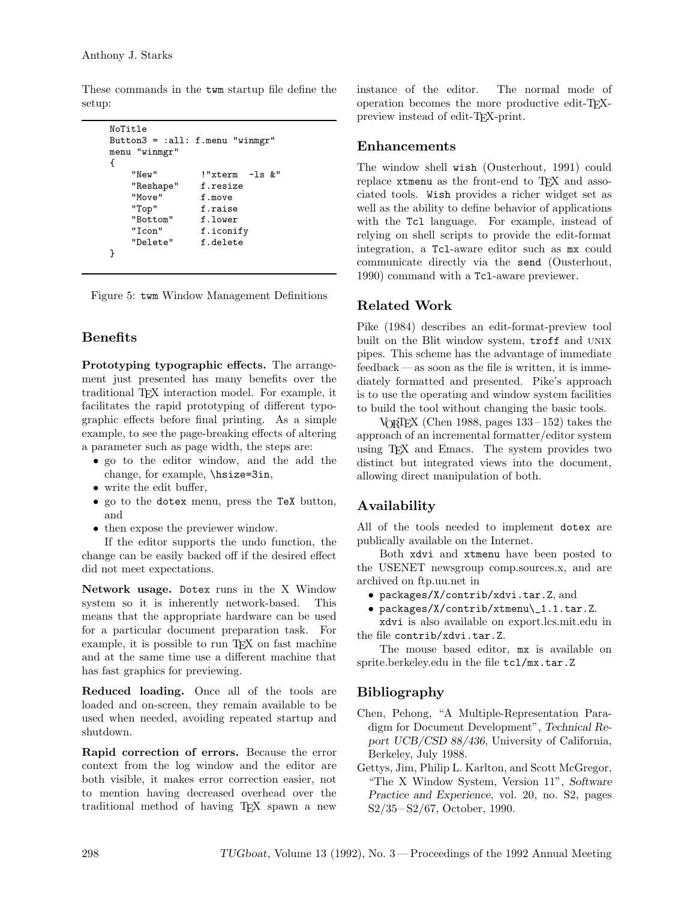These commands in the twm startup file define the setup:

```
NoTitle
Button3 = :all: f.menu "winmgr"
menu "winmgr"
{
    "New" !"xterm -1s &"
    "Reshape" f.resize
   "Move" f.move<br>"Top" f.rais
                f.raise
   "Bottom" f.lower
                f.iconify
    "Delete" f.delete
}
```
Figure 5: twm Window Management Definitions

## **Benefits**

**Prototyping typographic effects.** The arrangement just presented has many benefits over the traditional TEX interaction model. For example, it facilitates the rapid prototyping of different typographic effects before final printing. As a simple example, to see the page-breaking effects of altering a parameter such as page width, the steps are:

- *•* go to the editor window, and the add the change, for example, \hsize=3in,
- *•* write the edit buffer,
- *•* go to the dotex menu, press the TeX button, and
- then expose the previewer window.

If the editor supports the undo function, the change can be easily backed off if the desired effect did not meet expectations.

**Network usage.** Dotex runs in the X Window system so it is inherently network-based. This means that the appropriate hardware can be used for a particular document preparation task. For example, it is possible to run  $T<sub>F</sub>X$  on fast machine and at the same time use a different machine that has fast graphics for previewing.

**Reduced loading.** Once all of the tools are loaded and on-screen, they remain available to be used when needed, avoiding repeated startup and shutdown.

**Rapid correction of errors.** Because the error context from the log window and the editor are both visible, it makes error correction easier, not to mention having decreased overhead over the traditional method of having TEX spawn a new

instance of the editor. The normal mode of operation becomes the more productive edit-TEXpreview instead of edit-TEX-print.

### **Enhancements**

The window shell wish (Ousterhout, 1991) could replace xtmenu as the front-end to TFX and associated tools. Wish provides a richer widget set as well as the ability to define behavior of applications with the Tcl language. For example, instead of relying on shell scripts to provide the edit-format integration, a Tcl-aware editor such as mx could communicate directly via the send (Ousterhout, 1990) command with a Tcl-aware previewer.

## **Related Work**

Pike (1984) describes an edit-format-preview tool built on the Blit window system, troff and unix pipes. This scheme has the advantage of immediate feedback — as soon as the file is written, it is immediately formatted and presented. Pike's approach is to use the operating and window system facilities to build the tool without changing the basic tools.

VORTEX (Chen 1988, pages  $133-152$ ) takes the approach of an incremental formatter/editor system using TEX and Emacs. The system provides two distinct but integrated views into the document, allowing direct manipulation of both.

## **Availability**

All of the tools needed to implement dotex are publically available on the Internet.

Both xdvi and xtmenu have been posted to the USENET newsgroup comp.sources.x, and are archived on ftp.uu.net in

- *•* packages/X/contrib/xdvi.tar.Z, and
- *•* packages/X/contrib/xtmenu\\_1.1.tar.Z.

xdvi is also available on export.lcs.mit.edu in the file contrib/xdvi.tar.Z.

The mouse based editor, mx is available on sprite.berkeley.edu in the file tcl/mx.tar.Z

## **Bibliography**

- Chen, Pehong, "A Multiple-Representation Paradigm for Document Development", *Technical Report UCB/CSD 88/436*, University of California, Berkeley, July 1988.
- Gettys, Jim, Philip L. Karlton, and Scott McGregor, "The X Window System, Version 11", *Software Practice and Experience*, vol. 20, no. S2, pages S2/35 – S2/67, October, 1990.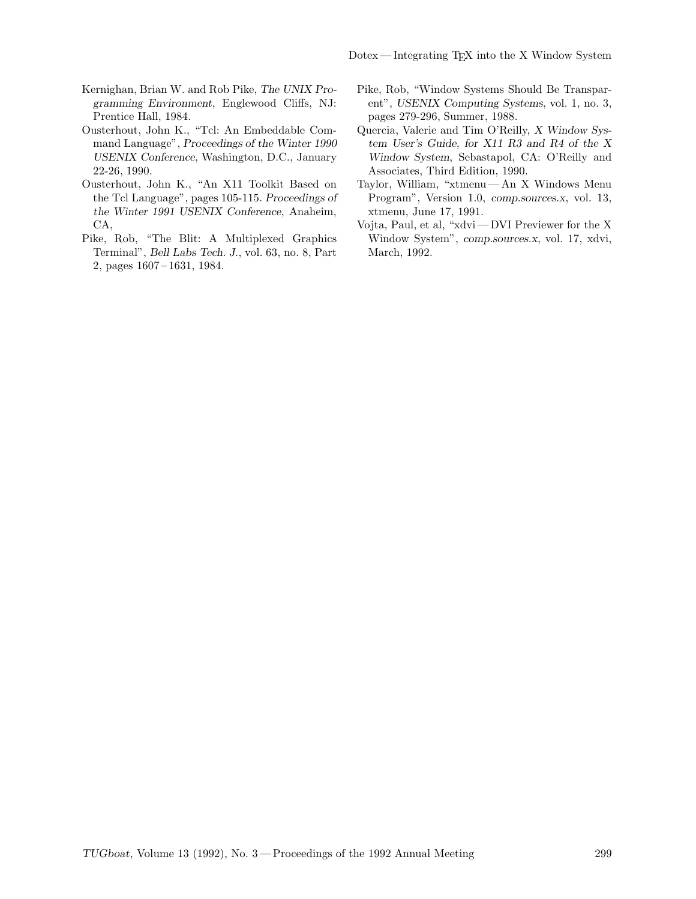Dotex— Integrating TEX into the X Window System

- Kernighan, Brian W. and Rob Pike, *The UNIX Programming Environment*, Englewood Cliffs, NJ: Prentice Hall, 1984.
- Ousterhout, John K., "Tcl: An Embeddable Command Language", *Proceedings of the Winter 1990 USENIX Conference*, Washington, D.C., January 22-26, 1990.
- Ousterhout, John K., "An X11 Toolkit Based on the Tcl Language", pages 105-115. *Proceedings of the Winter 1991 USENIX Conference*, Anaheim, CA,
- Pike, Rob, "The Blit: A Multiplexed Graphics Terminal", *Bell Labs Tech. J.*, vol. 63, no. 8, Part 2, pages 1607 – 1631, 1984.
- Pike, Rob, "Window Systems Should Be Transparent", *USENIX Computing Systems*, vol. 1, no. 3, pages 279-296, Summer, 1988.
- Quercia, Valerie and Tim O'Reilly, *X Window System User's Guide, for X11 R3 and R4 of the X Window System*, Sebastapol, CA: O'Reilly and Associates, Third Edition, 1990.
- Taylor, William, "xtmenu— An X Windows Menu Program", Version 1.0, *comp.sources.x*, vol. 13, xtmenu, June 17, 1991.
- Vojta, Paul, et al, "xdvi— DVI Previewer for the X Window System", *comp.sources.x*, vol. 17, xdvi, March, 1992.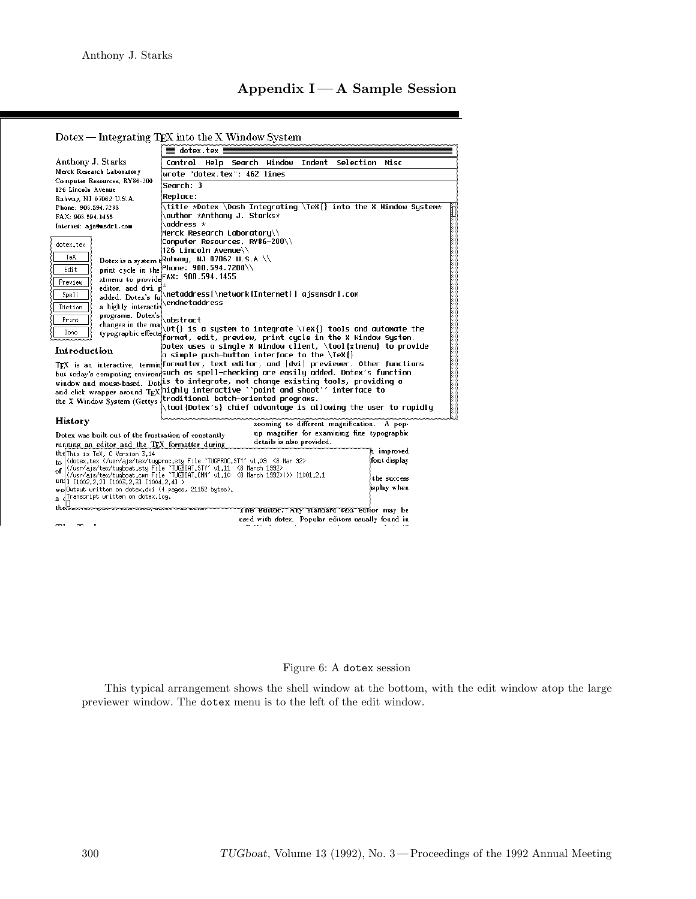# **Appendix I— A Sample Session**

Dotex -- Integrating TEX into the X Window System

|                                                                                                                                                               | ≣ dotex.tex                                                                               |              |  |  |  |
|---------------------------------------------------------------------------------------------------------------------------------------------------------------|-------------------------------------------------------------------------------------------|--------------|--|--|--|
| Anthony J. Starks                                                                                                                                             | Window<br>Control<br>Search<br>Indent Selection<br>Help                                   | Misc         |  |  |  |
| Merck Research Laboratory                                                                                                                                     | wrote "dotex.tex": 462 lines                                                              |              |  |  |  |
| Computer Resources, RY86-200                                                                                                                                  | Search: 3                                                                                 |              |  |  |  |
| 126 Lincoln Avenue                                                                                                                                            | Replace:                                                                                  |              |  |  |  |
| Rahway, NJ 07062 U.S.A.                                                                                                                                       | \title *Dotex \Dash Inteqratinq \TeX{} into the X Window System*                          |              |  |  |  |
| Phone: 908.594.7288<br>FAX: 908.594.1455                                                                                                                      | \author *Anthony J. Starks*                                                               | Ï            |  |  |  |
|                                                                                                                                                               | \address *                                                                                |              |  |  |  |
| Internet: ajs@msdrl.com                                                                                                                                       | Merck Research Laboratory\\                                                               |              |  |  |  |
| dotex.tex                                                                                                                                                     | Computer Resources, RY86–200\\                                                            |              |  |  |  |
|                                                                                                                                                               | 126 Lincoln Avenue\\                                                                      |              |  |  |  |
| TeX                                                                                                                                                           | Dotex is a system (Rahuay, NJ 07062 U.S.A.\\                                              |              |  |  |  |
| print cycle in the<br>Edit                                                                                                                                    | Phone: 908.594.7288\\                                                                     |              |  |  |  |
| xtmenu to provide<br>Preview                                                                                                                                  | FAX: 908.594.1455]                                                                        |              |  |  |  |
| editor, and dvi                                                                                                                                               |                                                                                           |              |  |  |  |
| \netaddress[\network{Internet}] ajs@msdrl.com<br>Spell<br>added. Dotex's fu<br>endnetaddress.                                                                 |                                                                                           |              |  |  |  |
| a highly interactiv<br>Diction                                                                                                                                |                                                                                           |              |  |  |  |
| programs. Dotex's<br>Print                                                                                                                                    | abstract                                                                                  |              |  |  |  |
|                                                                                                                                                               | changes in the ma<br><b>\Dt{} is a system to integrate \TeX{} tools and automate the</b>  |              |  |  |  |
|                                                                                                                                                               | Done<br>typographic effects<br>format, edit, preview, print cycle in the X Window System. |              |  |  |  |
| Dotex uses a single X Window client, \tool{xtmenu} to provide@<br>Introduction<br>ia simple push-button interface to the \TeX{}                               |                                                                                           |              |  |  |  |
| TEX is an interactive, terminiformatter, text editor, and  dvi  previewer. Other functions                                                                    |                                                                                           |              |  |  |  |
| but today's computing environssuch as spell-checking are easily added. Dotex's function                                                                       |                                                                                           |              |  |  |  |
| window and mouse-based. Dot                                                                                                                                   | is to integrate, not change existing tools, providing a                                   |              |  |  |  |
| highly interactive ``point and shoot'' interface to!<br>and click wrapper around TEX                                                                          |                                                                                           |              |  |  |  |
| traditional batch-oriented programs.<br>the X Window System (Gettys<br>\tool{Dotex's} chief advantage is allowing the user to rapidly                         |                                                                                           |              |  |  |  |
|                                                                                                                                                               |                                                                                           |              |  |  |  |
| History                                                                                                                                                       | zooming to different magnification.                                                       | A pop-       |  |  |  |
| Dotex was built out of the frustration of constantly                                                                                                          | up magnifier for examining fine typographic                                               |              |  |  |  |
| running an editor and the TEX formatter during                                                                                                                | details is also provided.                                                                 |              |  |  |  |
| the This is TeX, C Version 3.14                                                                                                                               |                                                                                           | th improved  |  |  |  |
|                                                                                                                                                               | to {(dotex.tex (/usr/ajs/tex/tugproc.sty File `TUGPROC.STY' v1.09 <8 Mar 92>              | font display |  |  |  |
| (/usr/ajs/tex/tugboat.sty File `TUGBOAT.STY' v1.11 <8 March 1992><br>(/usr/ajs/tex/tugboat.cmn File `TUGBOAT.CMN' v1.10 <8 March 1992>))) [1001.2.1           |                                                                                           |              |  |  |  |
| the success<br>$\texttt{unij}$ [1002,2,2] [1003,2,3] [1004,2,4] )                                                                                             |                                                                                           |              |  |  |  |
| wo Output written on dotex.dvi (4 pages, 21152 bytes).                                                                                                        |                                                                                           | isplay when  |  |  |  |
| Transcript written on dotex.log.                                                                                                                              |                                                                                           |              |  |  |  |
| Einstein von Stadt der Mark der Stadt und der Stadt der Stadt und Stadt und Stadt der Stadt und Stadt und Stad<br>The editor. Any standard text editor may be |                                                                                           |              |  |  |  |
|                                                                                                                                                               |                                                                                           |              |  |  |  |
| $-1$                                                                                                                                                          | used with dotex. Popular editors usually found in<br><b>THE PESS</b> 5                    |              |  |  |  |

### Figure 6: A dotex session

This typical arrangement shows the shell window at the bottom, with the edit window atop the large previewer window. The dotex menu is to the left of the edit window.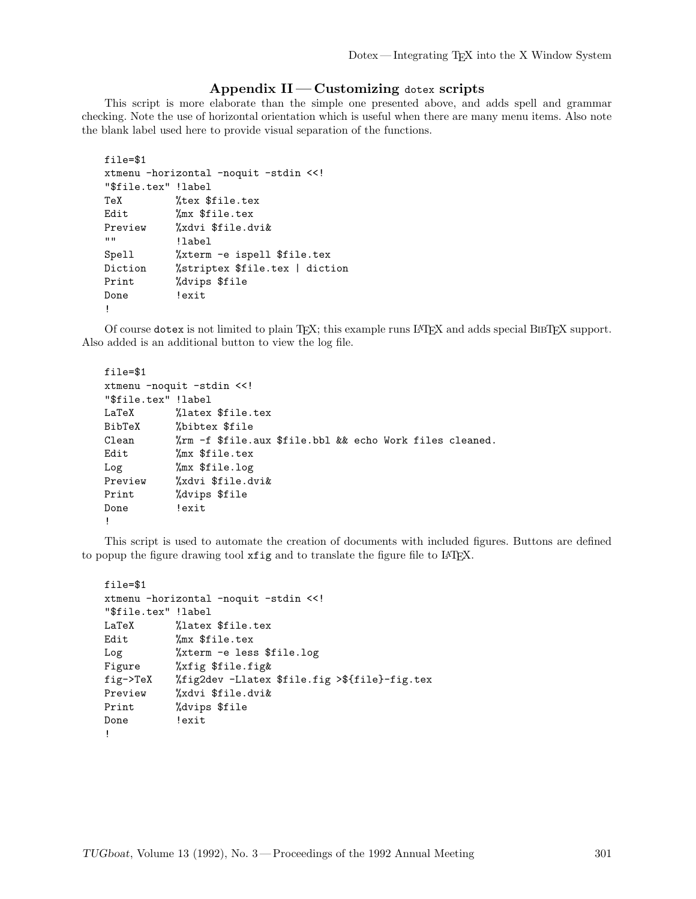#### **Appendix II — Customizing** dotex **scripts**

This script is more elaborate than the simple one presented above, and adds spell and grammar checking. Note the use of horizontal orientation which is useful when there are many menu items. Also note the blank label used here to provide visual separation of the functions.

```
file=$1
xtmenu -horizontal -noquit -stdin <<!
"$file.tex" !label
TeX %tex $file.tex
Edit %mx $file.tex
Preview %xdvi $file.dvi&
"" !label
Spell %xterm -e ispell $file.tex
Diction %striptex $file.tex | diction
Print %dvips $file
Done !exit
!
```
Of course dotex is not limited to plain T<sub>EX</sub>; this example runs LAT<sub>EX</sub> and adds special BIBT<sub>EX</sub> support. Also added is an additional button to view the log file.

```
file=$1
xtmenu -noquit -stdin <<!
"$file.tex" !label
LaTeX %latex $file.tex
BibTeX %bibtex $file
Clean %rm -f $file.aux $file.bbl && echo Work files cleaned.
Edit %mx $file.tex
Log %mx $file.log
Preview %xdvi $file.dvi&
Print %dvips $file
Done !exit
!
```
This script is used to automate the creation of documents with included figures. Buttons are defined to popup the figure drawing tool xfig and to translate the figure file to LATEX.

```
file=$1
xtmenu -horizontal -noquit -stdin <<!
"$file.tex" !label
LaTeX %latex $file.tex
Edit %mx $file.tex
Log %xterm -e less $file.log
Figure %xfig $file.fig&
fig->TeX %fig2dev -Llatex $file.fig >${file}-fig.tex
Preview %xdvi $file.dvi&
Print %dvips $file
Done !exit
!
```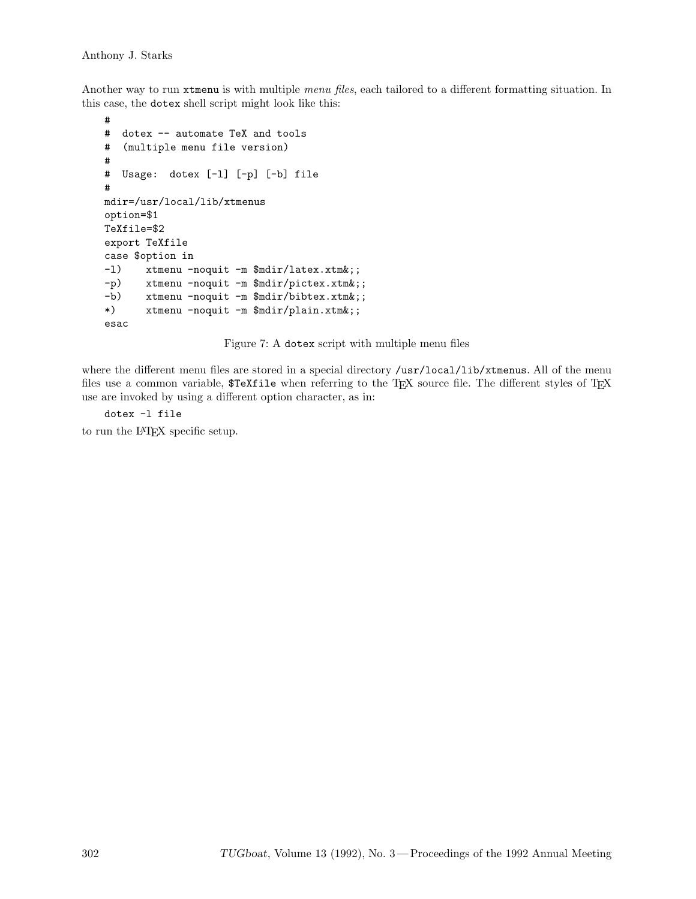Another way to run xtmenu is with multiple *menu files*, each tailored to a different formatting situation. In this case, the dotex shell script might look like this:

```
#
# dotex -- automate TeX and tools
# (multiple menu file version)
#
# Usage: dotex [-l] [-p] [-b] file
#
mdir=/usr/local/lib/xtmenus
option=$1
TeXfile=$2
export TeXfile
case $option in
-1) xtmenu -noquit -m $mdir/latex.xtm&;;
-p) xtmenu -noquit -m $mdir/pictex.xtm&;;
-b) xtmenu -noquit -m $mdir/bibtex.xtm&;;
*) xtmenu -noquit -m $mdir/plain.xtm&;;
esac
```
Figure 7: A dotex script with multiple menu files

where the different menu files are stored in a special directory /usr/local/lib/xtmenus. All of the menu files use a common variable,  $Texfile$  when referring to the TEX source file. The different styles of TEX use are invoked by using a different option character, as in:

dotex -l file to run the LATEX specific setup.